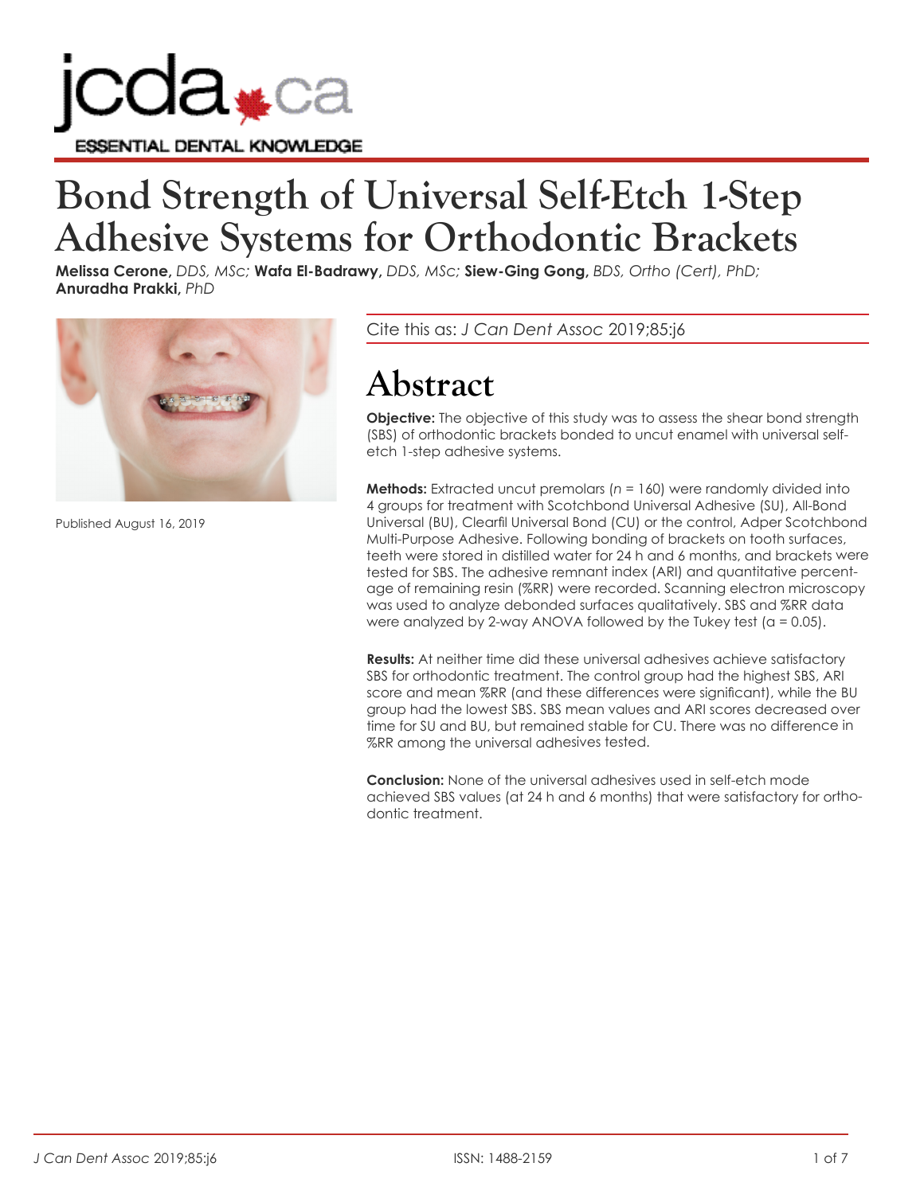

# **Bond Strength of Universal Self-Etch 1-Step Adhesive Systems for Orthodontic Brackets**

**Melissa Cerone,** *DDS, MSc;* **Wafa El-Badrawy,** *DDS, MSc;* **Siew-Ging Gong,** *BDS, Ortho (Cert), PhD;* **Anuradha Prakki,** *PhD*



Published August 16, 2019

Cite this as: *J Can Dent Assoc* 2019;85:j6

## **Abstract**

**Objective:** The objective of this study was to assess the shear bond strength (SBS) of orthodontic brackets bonded to uncut enamel with universal selfetch 1-step adhesive systems.

**Methods:** Extracted uncut premolars ( $n = 160$ ) were randomly divided into 4 groups for treatment with Scotchbond Universal Adhesive (SU), All-Bond Universal (BU), Clearfil Universal Bond (CU) or the control, Adper Scotchbond Multi-Purpose Adhesive. Following bonding of brackets on tooth surfaces, teeth were stored in distilled water for 24 h and 6 months, and brackets were tested for SBS. The adhesive remnant index (ARI) and quantitative percentage of remaining resin (%RR) were recorded. Scanning electron microscopy was used to analyze debonded surfaces qualitatively. SBS and %RR data were analyzed by 2-way ANOVA followed by the Tukey test ( $a = 0.05$ ).

**Results:** At neither time did these universal adhesives achieve satisfactory SBS for orthodontic treatment. The control group had the highest SBS, ARI score and mean %RR (and these differences were significant), while the BU group had the lowest SBS. SBS mean values and ARI scores decreased over time for SU and BU, but remained stable for CU. There was no difference in %RR among the universal adhesives tested.

**Conclusion:** None of the universal adhesives used in self-etch mode achieved SBS values (at 24 h and 6 months) that were satisfactory for orthodontic treatment.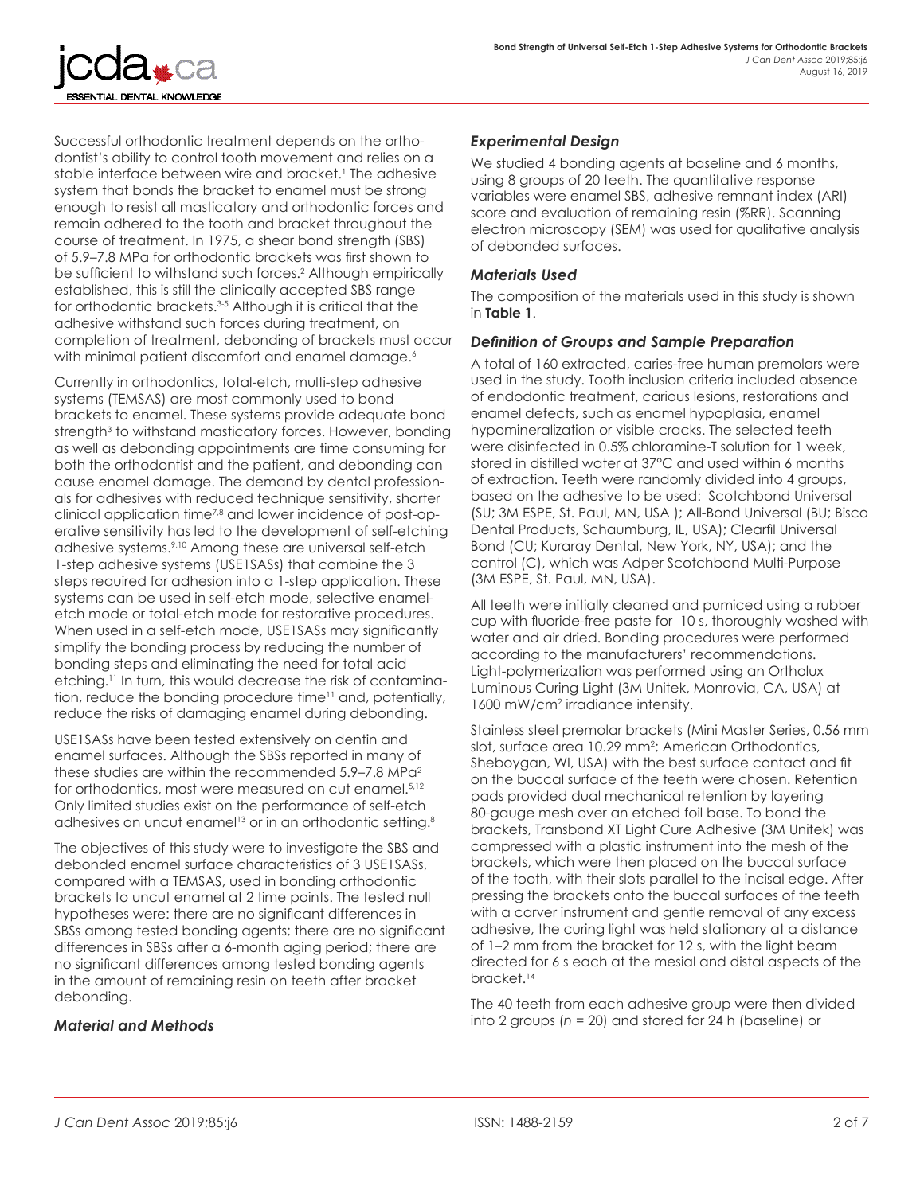Successful orthodontic treatment depends on the orthodontist's ability to control tooth movement and relies on a stable interface between wire and bracket.1 The adhesive system that bonds the bracket to enamel must be strong enough to resist all masticatory and orthodontic forces and remain adhered to the tooth and bracket throughout the course of treatment. In 1975, a shear bond strength (SBS) of 5.9–7.8 MPa for orthodontic brackets was first shown to be sufficient to withstand such forces.<sup>2</sup> Although empirically established, this is still the clinically accepted SBS range for orthodontic brackets.3-5 Although it is critical that the adhesive withstand such forces during treatment, on completion of treatment, debonding of brackets must occur with minimal patient discomfort and enamel damage.<sup>6</sup>

SSENTIAL DENTAL KNOWLEDGE

Currently in orthodontics, total-etch, multi-step adhesive systems (TEMSAS) are most commonly used to bond brackets to enamel. These systems provide adequate bond strength<sup>3</sup> to withstand masticatory forces. However, bonding as well as debonding appointments are time consuming for both the orthodontist and the patient, and debonding can cause enamel damage. The demand by dental professionals for adhesives with reduced technique sensitivity, shorter clinical application time<sup>7,8</sup> and lower incidence of post-operative sensitivity has led to the development of self-etching adhesive systems.9,10 Among these are universal self-etch 1-step adhesive systems (USE1SASs) that combine the 3 steps required for adhesion into a 1-step application. These systems can be used in self-etch mode, selective enameletch mode or total-etch mode for restorative procedures. When used in a self-etch mode, USE1SASs may significantly simplify the bonding process by reducing the number of bonding steps and eliminating the need for total acid etching.<sup>11</sup> In turn, this would decrease the risk of contamination, reduce the bonding procedure time<sup>11</sup> and, potentially, reduce the risks of damaging enamel during debonding.

USE1SASs have been tested extensively on dentin and enamel surfaces. Although the SBSs reported in many of these studies are within the recommended  $5.9-7.8$  MP $a^2$ for orthodontics, most were measured on cut enamel.<sup>5,12</sup> Only limited studies exist on the performance of self-etch adhesives on uncut enamel<sup>13</sup> or in an orthodontic setting.<sup>8</sup>

The objectives of this study were to investigate the SBS and debonded enamel surface characteristics of 3 USE1SASs, compared with a TEMSAS, used in bonding orthodontic brackets to uncut enamel at 2 time points. The tested null hypotheses were: there are no significant differences in SBSs among tested bonding agents; there are no significant differences in SBSs after a 6-month aging period; there are no significant differences among tested bonding agents in the amount of remaining resin on teeth after bracket debonding.

#### *Material and Methods*

#### *Experimental Design*

We studied 4 bonding agents at baseline and 6 months, using 8 groups of 20 teeth. The quantitative response variables were enamel SBS, adhesive remnant index (ARI) score and evaluation of remaining resin (%RR). Scanning electron microscopy (SEM) was used for qualitative analysis of debonded surfaces.

#### *Materials Used*

The composition of the materials used in this study is shown in **Table 1**.

#### *Definition of Groups and Sample Preparation*

A total of 160 extracted, caries-free human premolars were used in the study. Tooth inclusion criteria included absence of endodontic treatment, carious lesions, restorations and enamel defects, such as enamel hypoplasia, enamel hypomineralization or visible cracks. The selected teeth were disinfected in 0.5% chloramine-T solution for 1 week, stored in distilled water at 37°C and used within 6 months of extraction. Teeth were randomly divided into 4 groups, based on the adhesive to be used: Scotchbond Universal (SU; 3M ESPE, St. Paul, MN, USA ); All-Bond Universal (BU; Bisco Dental Products, Schaumburg, IL, USA); Clearfil Universal Bond (CU; Kuraray Dental, New York, NY, USA); and the control (C), which was Adper Scotchbond Multi-Purpose (3M ESPE, St. Paul, MN, USA).

All teeth were initially cleaned and pumiced using a rubber cup with fluoride-free paste for 10 s, thoroughly washed with water and air dried. Bonding procedures were performed according to the manufacturers' recommendations. Light-polymerization was performed using an Ortholux Luminous Curing Light (3M Unitek, Monrovia, CA, USA) at 1600 mW/cm2 irradiance intensity.

Stainless steel premolar brackets (Mini Master Series, 0.56 mm slot, surface area 10.29 mm<sup>2</sup>; American Orthodontics, Sheboygan, WI, USA) with the best surface contact and fit on the buccal surface of the teeth were chosen. Retention pads provided dual mechanical retention by layering 80-gauge mesh over an etched foil base. To bond the brackets, Transbond XT Light Cure Adhesive (3M Unitek) was compressed with a plastic instrument into the mesh of the brackets, which were then placed on the buccal surface of the tooth, with their slots parallel to the incisal edge. After pressing the brackets onto the buccal surfaces of the teeth with a carver instrument and gentle removal of any excess adhesive, the curing light was held stationary at a distance of 1–2 mm from the bracket for 12 s, with the light beam directed for 6 s each at the mesial and distal aspects of the bracket.<sup>14</sup>

The 40 teeth from each adhesive group were then divided into 2 groups (*n* = 20) and stored for 24 h (baseline) or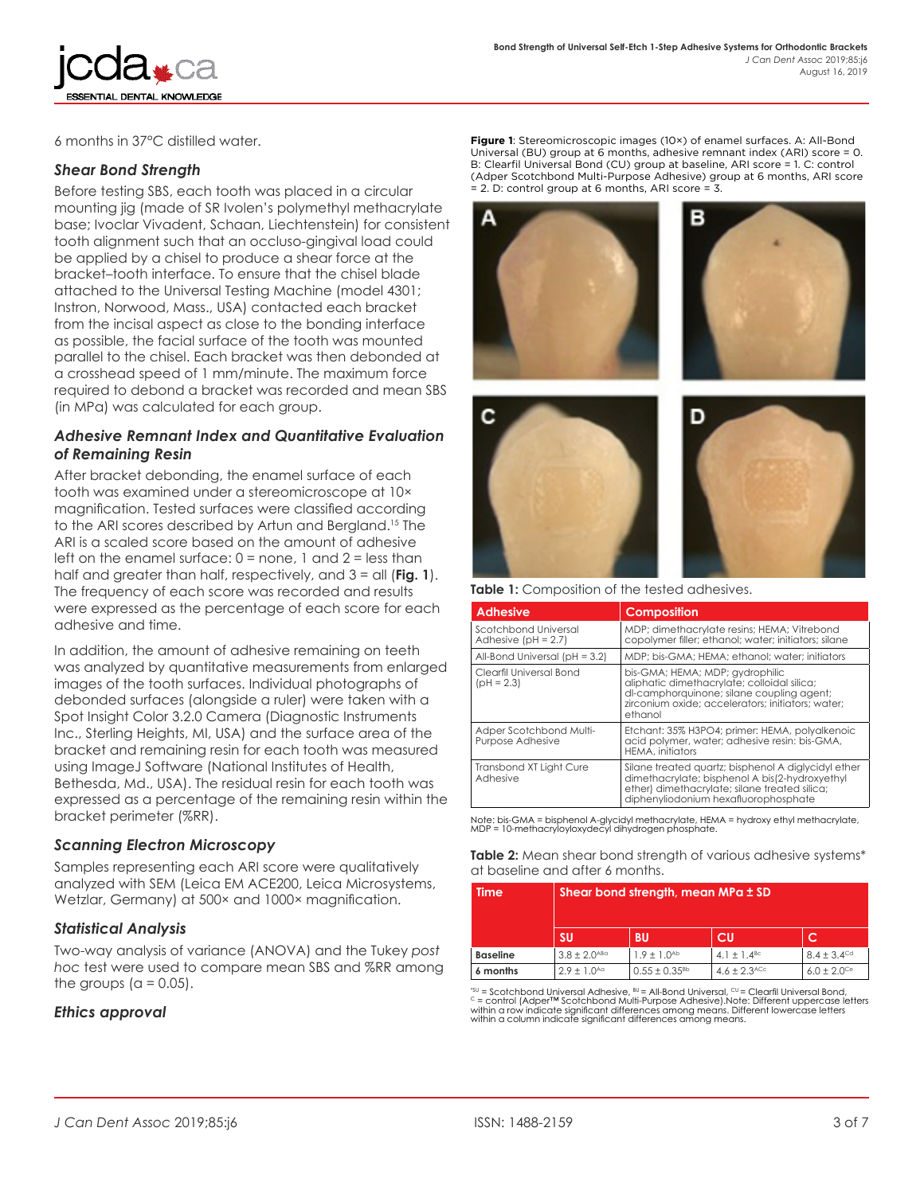

6 months in 37°C distilled water.

#### *Shear Bond Strength*

Before testing SBS, each tooth was placed in a circular mounting jig (made of SR Ivolen's polymethyl methacrylate base; Ivoclar Vivadent, Schaan, Liechtenstein) for consistent tooth alignment such that an occluso-gingival load could be applied by a chisel to produce a shear force at the bracket–tooth interface. To ensure that the chisel blade attached to the Universal Testing Machine (model 4301; Instron, Norwood, Mass., USA) contacted each bracket from the incisal aspect as close to the bonding interface as possible, the facial surface of the tooth was mounted parallel to the chisel. Each bracket was then debonded at a crosshead speed of 1 mm/minute. The maximum force required to debond a bracket was recorded and mean SBS (in MPa) was calculated for each group.

#### *Adhesive Remnant Index and Quantitative Evaluation of Remaining Resin*

After bracket debonding, the enamel surface of each tooth was examined under a stereomicroscope at 10× magnification. Tested surfaces were classified according to the ARI scores described by Artun and Bergland.<sup>15</sup> The ARI is a scaled score based on the amount of adhesive left on the enamel surface:  $0 =$  none, 1 and  $2 =$  less than half and greater than half, respectively, and 3 = all (**Fig. 1**). The frequency of each score was recorded and results were expressed as the percentage of each score for each adhesive and time.

In addition, the amount of adhesive remaining on teeth was analyzed by quantitative measurements from enlarged images of the tooth surfaces. Individual photographs of debonded surfaces (alongside a ruler) were taken with a Spot Insight Color 3.2.0 Camera (Diagnostic Instruments Inc., Sterling Heights, MI, USA) and the surface area of the bracket and remaining resin for each tooth was measured using ImageJ Software (National Institutes of Health, Bethesda, Md., USA). The residual resin for each tooth was expressed as a percentage of the remaining resin within the bracket perimeter (%RR).

#### *Scanning Electron Microscopy*

Samples representing each ARI score were qualitatively analyzed with SEM (Leica EM ACE200, Leica Microsystems, Wetzlar, Germany) at 500× and 1000× magnification.

#### *Statistical Analysis*

Two-way analysis of variance (ANOVA) and the Tukey *post hoc* test were used to compare mean SBS and %RR among the groups  $(a = 0.05)$ .

#### *Ethics approval*

**Figure 1**: Stereomicroscopic images (10×) of enamel surfaces. A: All-Bond Universal (BU) group at 6 months, adhesive remnant index (ARI) score = 0. B: Clearfil Universal Bond (CU) group at baseline, ARI score = 1. C: control (Adper Scotchbond Multi-Purpose Adhesive) group at 6 months, ARI score = 2. D: control group at 6 months, ARI score = 3.







**Table 1:** Composition of the tested adhesives.

| <b>Adhesive</b>                               | <b>Composition</b>                                                                                                                                                                             |
|-----------------------------------------------|------------------------------------------------------------------------------------------------------------------------------------------------------------------------------------------------|
| Scotchbond Universal<br>Adhesive $[PH = 2.7]$ | MDP; dimethacrylate resins; HEMA; Vitrebond<br>copolymer filler; ethanol; water; initiators; silane                                                                                            |
| All-Bond Universal ( $pH = 3.2$ )             | MDP; bis-GMA; HEMA; ethanol; water; initiators                                                                                                                                                 |
| Clearfil Universal Bond<br>$[PH = 2.3]$       | bis-GMA; HEMA; MDP; gydrophilic<br>aliphatic dimethacrylate; colloidal silica;<br>dl-camphorquinone; silane coupling agent;<br>zirconium oxide: accelerators: initiators: water:<br>ethanol    |
| Adper Scotchbond Multi-<br>Purpose Adhesive   | Etchant: 35% H3PO4; primer: HEMA, polyalkenoic<br>acid polymer, water; adhesive resin: bis-GMA,<br><b>HEMA, initiators</b>                                                                     |
| Transbond XT Light Cure<br>Adhesive           | Silane treated quartz; bisphenol A diglycidyl ether<br>dimethacrylate; bisphenol A bis(2-hydroxyethyl<br>ether) dimethacrylate; silane treated silica;<br>diphenyliodonium hexafluorophosphate |

Note: bis-GMA = bisphenol A-glycidyl methacrylate, HEMA = hydroxy ethyl methacrylate, MDP = 10-methacryloyloxydecyl dihydrogen phosphate.

**Table 2:** Mean shear bond strength of various adhesive systems\* at baseline and after 6 months.

| <b>Time</b>     | Shear bond strength, mean MPa ± SD |                      |                              |                             |
|-----------------|------------------------------------|----------------------|------------------------------|-----------------------------|
|                 | <b>SU</b>                          | <b>BU</b>            | <b>CU</b>                    | C                           |
| <b>Baseline</b> | $3.8 \pm 2.0$ <sup>ABa</sup>       | $1.9 \pm 1.0^{Ab}$   | 4.1 $\pm$ 1.4 <sup>Bc</sup>  | $8.4 \pm 3.4$ <sup>Cd</sup> |
| 6 months        | $2.9 \pm 1.0^{Aa}$                 | $0.55 \pm 0.35^{Bb}$ | $4.6 \pm 2.3$ <sup>ACc</sup> | $6.0 \pm 2.0$ <sup>Ce</sup> |

<sup>su</sup> = Scotchbond Universal Adhesive, <sup>su</sup>= All-Bond Universal, <sup>cu</sup>= Clearfil Universal Bond,<br><sup>c</sup> = control (Adper™ Scotchbond Multi-Purpose Adhesive).Note: Different uppercase letters<br>within a row indicate significant di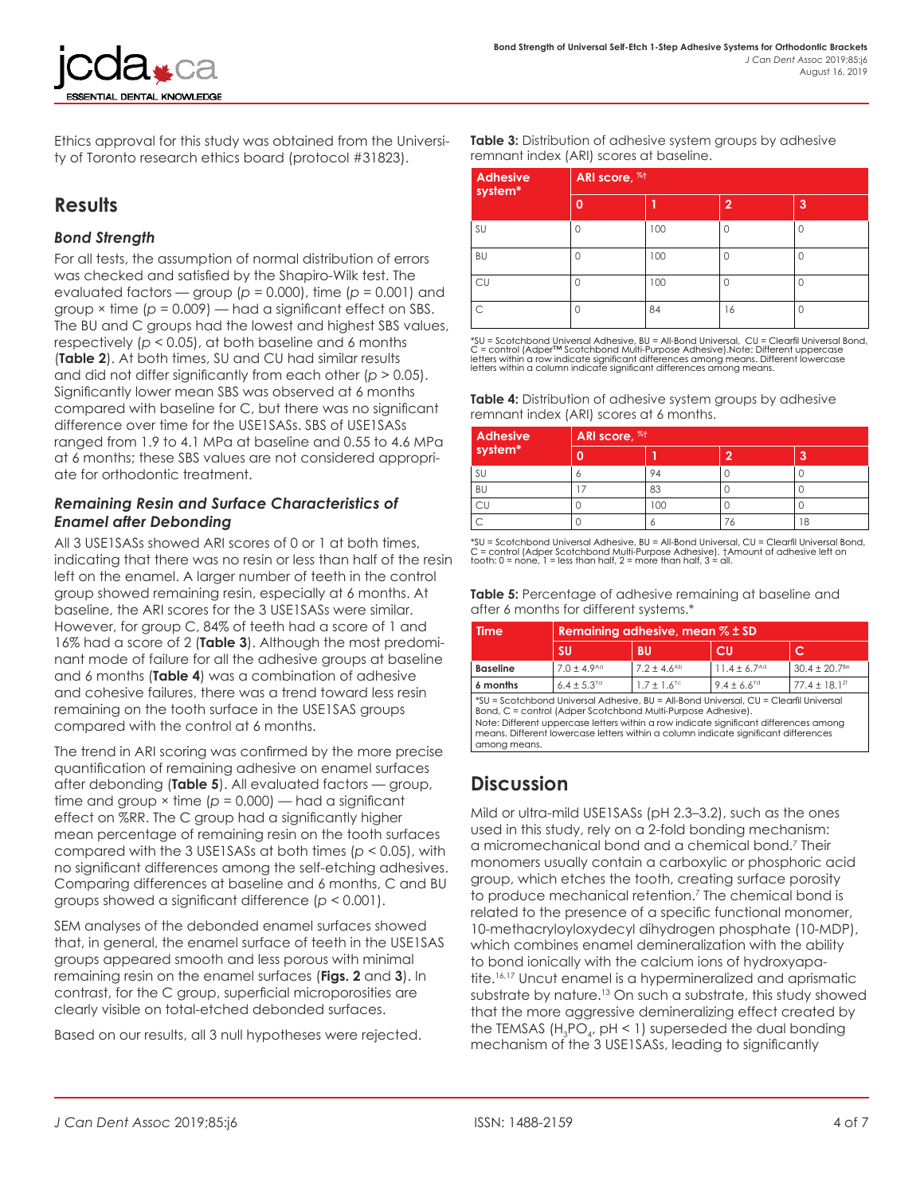

Ethics approval for this study was obtained from the University of Toronto research ethics board (protocol #31823).

## **Results**

#### *Bond Strength*

For all tests, the assumption of normal distribution of errors was checked and satisfied by the Shapiro-Wilk test. The evaluated factors — group (*p* = 0.000), time (*p* = 0.001) and group × time (*p* = 0.009) — had a significant effect on SBS. The BU and C groups had the lowest and highest SBS values, respectively (*p* < 0.05), at both baseline and 6 months (**Table 2**). At both times, SU and CU had similar results and did not differ significantly from each other (*p* > 0.05). Significantly lower mean SBS was observed at 6 months compared with baseline for C, but there was no significant difference over time for the USE1SASs. SBS of USE1SASs ranged from 1.9 to 4.1 MPa at baseline and 0.55 to 4.6 MPa at 6 months; these SBS values are not considered appropriate for orthodontic treatment.

#### *Remaining Resin and Surface Characteristics of Enamel after Debonding*

All 3 USE1SASs showed ARI scores of 0 or 1 at both times, indicating that there was no resin or less than half of the resin left on the enamel. A larger number of teeth in the control group showed remaining resin, especially at 6 months. At baseline, the ARI scores for the 3 USE1SASs were similar. However, for group C, 84% of teeth had a score of 1 and 16% had a score of 2 (**Table 3**). Although the most predominant mode of failure for all the adhesive groups at baseline and 6 months (**Table 4**) was a combination of adhesive and cohesive failures, there was a trend toward less resin remaining on the tooth surface in the USE1SAS groups compared with the control at 6 months.

The trend in ARI scoring was confirmed by the more precise quantification of remaining adhesive on enamel surfaces after debonding (**Table 5**). All evaluated factors — group, time and group × time (*p* = 0.000) — had a significant effect on %RR. The C group had a significantly higher mean percentage of remaining resin on the tooth surfaces compared with the 3 USE1SASs at both times (*p* < 0.05), with no significant differences among the self-etching adhesives. Comparing differences at baseline and 6 months, C and BU groups showed a significant difference (*p* < 0.001).

SEM analyses of the debonded enamel surfaces showed that, in general, the enamel surface of teeth in the USE1SAS groups appeared smooth and less porous with minimal remaining resin on the enamel surfaces (**Figs. 2** and **3**). In contrast, for the C group, superficial microporosities are clearly visible on total-etched debonded surfaces.

Based on our results, all 3 null hypotheses were rejected.

**Table 3:** Distribution of adhesive system groups by adhesive remnant index (ARI) scores at baseline.

| <b>Adhesive</b><br>system* |          | ARI score, %+ |                |   |  |
|----------------------------|----------|---------------|----------------|---|--|
|                            | 0        |               | $\overline{2}$ | 3 |  |
| SU                         | 0        | 100           | 0              |   |  |
| <b>BU</b>                  |          | 100           | Λ              |   |  |
| CU                         | C        | 100           | Ω              |   |  |
| C                          | $\Omega$ | 84            | 16             |   |  |

\*SU = Scotchbond Universal Adhesive, BU = All-Bond Universal, CU = Clearfil Universal Bond, C = control (Adper™ Scotchbond Multi-Purpose Adhesive).Note: Different uppercase<br>letters within a row indicate significant differences among means. Different lowercase<br>letters within a column indicate significant differen

| <b>Table 4:</b> Distribution of adhesive system groups by adhesive |  |
|--------------------------------------------------------------------|--|
| remnant index (ARI) scores at 6 months.                            |  |

| <b>Adhesive</b> | <b>ARI</b> score, <sup>%+</sup> |     |    |    |
|-----------------|---------------------------------|-----|----|----|
| system*         |                                 |     | o  | 3  |
| SU              | o                               | 94  |    |    |
| BU              |                                 | 83  |    |    |
|                 |                                 | 100 |    |    |
|                 |                                 | o   | 76 | 18 |

\*SU = Scotchbond Universal Adhesive, BU = All-Bond Universal, CU = Clearfil Universal Bond, C = control (Adper Scotchbond Multi-Purpose Adhesive). †Amount of adhesive left on tooth: 0 = none, 1 = less than half, 2 = more than half, 3 = all.

**Table 5:** Percentage of adhesive remaining at baseline and after 6 months for different systems.\*

| <b>Time</b>                                                                                                                                                                                                                                                                                                                                           | Remaining adhesive, mean $%$ $\pm$ SD |                             |                              |                               |
|-------------------------------------------------------------------------------------------------------------------------------------------------------------------------------------------------------------------------------------------------------------------------------------------------------------------------------------------------------|---------------------------------------|-----------------------------|------------------------------|-------------------------------|
|                                                                                                                                                                                                                                                                                                                                                       | <b>SU</b>                             | <b>BU</b>                   | CU                           | с                             |
| <b>Baseline</b>                                                                                                                                                                                                                                                                                                                                       | $7.0 \pm 4.9$ <sup>Aa</sup>           | $7.2 \pm 4.6$ <sup>Ab</sup> | $11.4 \pm 6.7$ <sup>Ad</sup> | $30.4 \pm 20.7$ <sup>Be</sup> |
| 6 months                                                                                                                                                                                                                                                                                                                                              | $6.4 \pm 5.3$ <sup>Ya</sup>           | $1.7 \pm 1.6$ <sup>Yc</sup> | $9.4 \pm 6.6$ <sup>Yd</sup>  | $77.4 \pm 18.1$ <sup>2f</sup> |
| *SU = Scotchbond Universal Adhesive, BU = All-Bond Universal, CU = Clearfil Universal<br>Bond, C = control (Adper Scotchbond Multi-Purpose Adhesive).<br>Note: Different uppercase letters within a row indicate significant differences among<br>means. Different lowercase letters within a column indicate significant differences<br>among means. |                                       |                             |                              |                               |

## **Discussion**

Mild or ultra-mild USE1SASs (pH 2.3–3.2), such as the ones used in this study, rely on a 2-fold bonding mechanism: a micromechanical bond and a chemical bond.7 Their monomers usually contain a carboxylic or phosphoric acid group, which etches the tooth, creating surface porosity to produce mechanical retention.7 The chemical bond is related to the presence of a specific functional monomer, 10-methacryloyloxydecyl dihydrogen phosphate (10-MDP), which combines enamel demineralization with the ability to bond ionically with the calcium ions of hydroxyapatite.16,17 Uncut enamel is a hypermineralized and aprismatic substrate by nature.<sup>13</sup> On such a substrate, this study showed that the more aggressive demineralizing effect created by the TEMSAS  $(\mathsf{H}_{\scriptscriptstyle{3}}\mathsf{PO}_{\scriptscriptstyle{4'}}$  pH < 1) superseded the dual bonding mechanism of the 3 USE1SASs, leading to significantly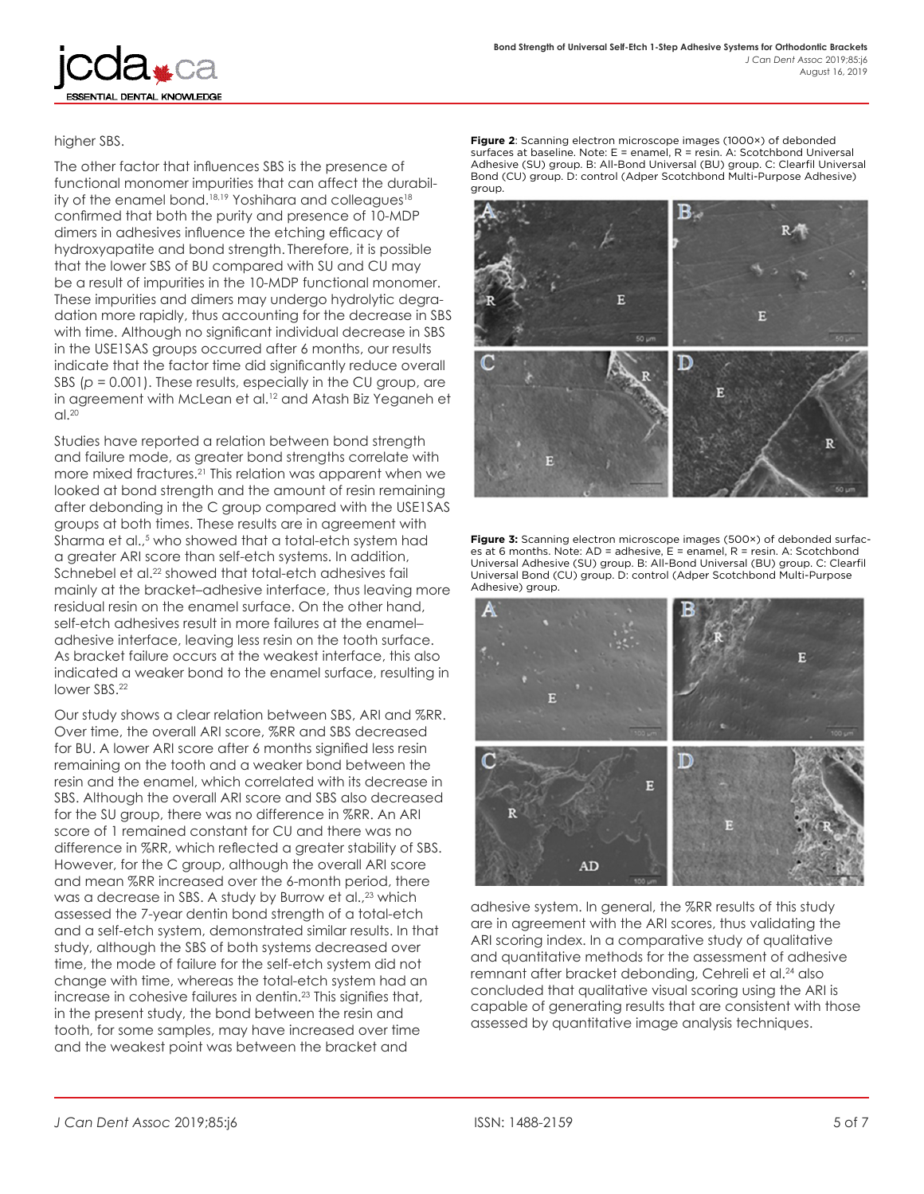higher SBS.

ESSENTIAL DENTAL KNOWLEDGE

The other factor that influences SBS is the presence of functional monomer impurities that can affect the durability of the enamel bond.<sup>18,19</sup> Yoshihara and colleagues<sup>18</sup> confirmed that both the purity and presence of 10‑MDP dimers in adhesives influence the etching efficacy of hydroxyapatite and bond strength. Therefore, it is possible that the lower SBS of BU compared with SU and CU may be a result of impurities in the 10-MDP functional monomer. These impurities and dimers may undergo hydrolytic degradation more rapidly, thus accounting for the decrease in SBS with time. Although no significant individual decrease in SBS in the USE1SAS groups occurred after 6 months, our results indicate that the factor time did significantly reduce overall SBS ( $p = 0.001$ ). These results, especially in the CU group, are in agreement with McLean et al.<sup>12</sup> and Atash Biz Yeganeh et  $Cl<sup>20</sup>$ 

Studies have reported a relation between bond strength and failure mode, as greater bond strengths correlate with more mixed fractures.21 This relation was apparent when we looked at bond strength and the amount of resin remaining after debonding in the C group compared with the USE1SAS groups at both times. These results are in agreement with Sharma et al.,5 who showed that a total-etch system had a greater ARI score than self-etch systems. In addition, Schnebel et al.<sup>22</sup> showed that total-etch adhesives fail mainly at the bracket–adhesive interface, thus leaving more residual resin on the enamel surface. On the other hand, self-etch adhesives result in more failures at the enamel– adhesive interface, leaving less resin on the tooth surface. As bracket failure occurs at the weakest interface, this also indicated a weaker bond to the enamel surface, resulting in lower SBS.22

Our study shows a clear relation between SBS, ARI and %RR. Over time, the overall ARI score, %RR and SBS decreased for BU. A lower ARI score after 6 months signified less resin remaining on the tooth and a weaker bond between the resin and the enamel, which correlated with its decrease in SBS. Although the overall ARI score and SBS also decreased for the SU group, there was no difference in %RR. An ARI score of 1 remained constant for CU and there was no difference in %RR, which reflected a greater stability of SBS. However, for the C group, although the overall ARI score and mean %RR increased over the 6-month period, there was a decrease in SBS. A study by Burrow et al.,<sup>23</sup> which assessed the 7-year dentin bond strength of a total-etch and a self-etch system, demonstrated similar results. In that study, although the SBS of both systems decreased over time, the mode of failure for the self-etch system did not change with time, whereas the total-etch system had an increase in cohesive failures in dentin.<sup>23</sup> This signifies that, in the present study, the bond between the resin and tooth, for some samples, may have increased over time and the weakest point was between the bracket and

**Figure 2**: Scanning electron microscope images (1000×) of debonded surfaces at baseline. Note: E = enamel, R = resin. A: Scotchbond Universal Adhesive (SU) group. B: All-Bond Universal (BU) group. C: Clearfil Universal Bond (CU) group. D: control (Adper Scotchbond Multi-Purpose Adhesive) group.



**Figure 3:** Scanning electron microscope images (500×) of debonded surfaces at 6 months. Note: AD = adhesive, E = enamel, R = resin. A: Scotchbond Universal Adhesive (SU) group. B: All-Bond Universal (BU) group. C: Clearfil Universal Bond (CU) group. D: control (Adper Scotchbond Multi-Purpose Adhesive) group.



adhesive system. In general, the %RR results of this study are in agreement with the ARI scores, thus validating the ARI scoring index. In a comparative study of qualitative and quantitative methods for the assessment of adhesive remnant after bracket debonding, Cehreli et al.<sup>24</sup> also concluded that qualitative visual scoring using the ARI is capable of generating results that are consistent with those assessed by quantitative image analysis techniques.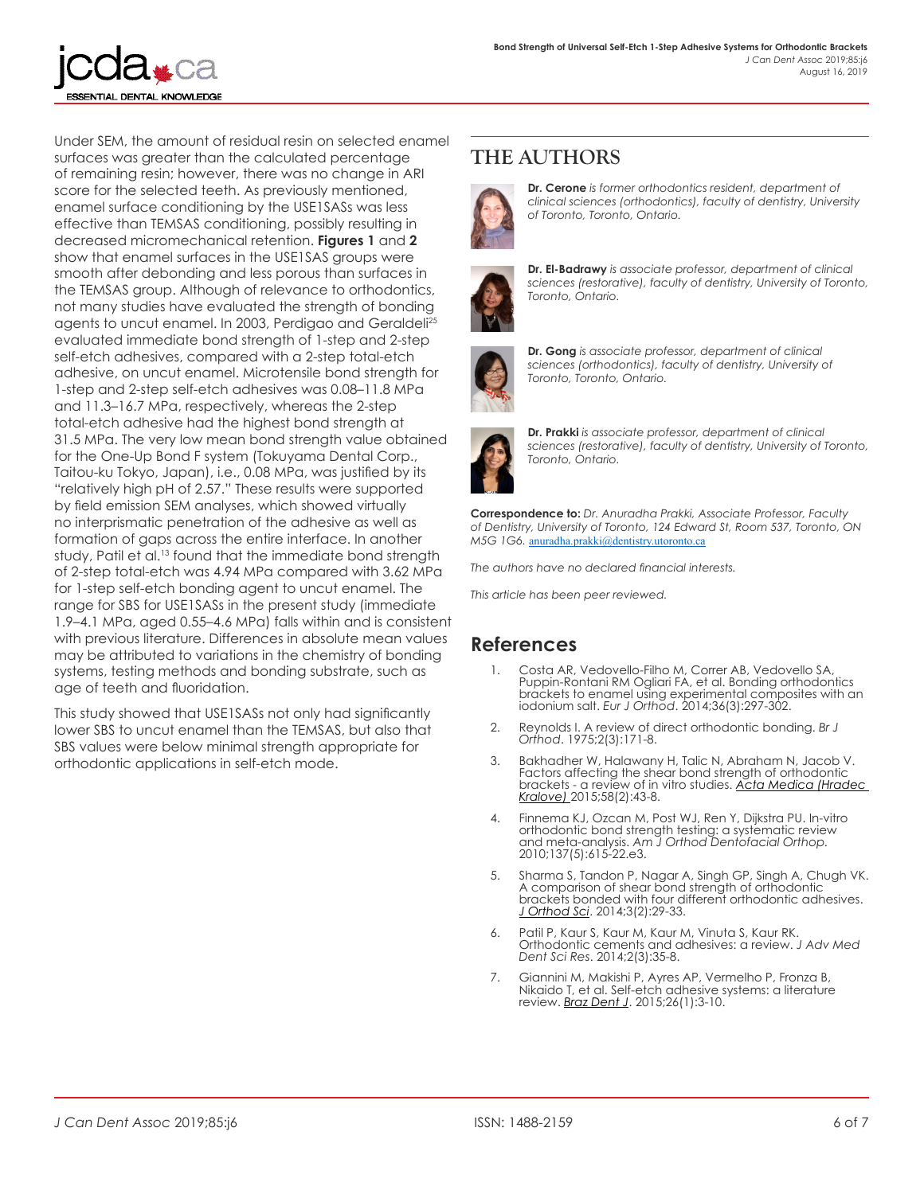

Under SEM, the amount of residual resin on selected enamel surfaces was greater than the calculated percentage of remaining resin; however, there was no change in ARI score for the selected teeth. As previously mentioned, enamel surface conditioning by the USE1SASs was less effective than TEMSAS conditioning, possibly resulting in decreased micromechanical retention. **Figures 1** and **2** show that enamel surfaces in the USE1SAS groups were smooth after debonding and less porous than surfaces in the TEMSAS group. Although of relevance to orthodontics, not many studies have evaluated the strength of bonding agents to uncut enamel. In 2003, Perdigao and Geraldeli<sup>25</sup> evaluated immediate bond strength of 1-step and 2-step self-etch adhesives, compared with a 2-step total-etch adhesive, on uncut enamel. Microtensile bond strength for 1-step and 2-step self-etch adhesives was 0.08–11.8 MPa and 11.3–16.7 MPa, respectively, whereas the 2-step total-etch adhesive had the highest bond strength at 31.5 MPa. The very low mean bond strength value obtained for the One-Up Bond F system (Tokuyama Dental Corp., Taitou-ku Tokyo, Japan), i.e., 0.08 MPa, was justified by its "relatively high pH of 2.57." These results were supported by field emission SEM analyses, which showed virtually no interprismatic penetration of the adhesive as well as formation of gaps across the entire interface. In another study, Patil et al.<sup>13</sup> found that the immediate bond strength of 2-step total-etch was 4.94 MPa compared with 3.62 MPa for 1-step self-etch bonding agent to uncut enamel. The range for SBS for USE1SASs in the present study (immediate 1.9–4.1 MPa, aged 0.55–4.6 MPa) falls within and is consistent with previous literature. Differences in absolute mean values may be attributed to variations in the chemistry of bonding systems, testing methods and bonding substrate, such as age of teeth and fluoridation.

This study showed that USE1SASs not only had significantly lower SBS to uncut enamel than the TEMSAS, but also that SBS values were below minimal strength appropriate for orthodontic applications in self-etch mode.

## **THE AUTHORS**



**Dr. Cerone** *is former orthodontics resident, department of clinical sciences (orthodontics), faculty of dentistry, University of Toronto, Toronto, Ontario.*



**Dr. El-Badrawy** *is associate professor, department of clinical sciences (restorative), faculty of dentistry, University of Toronto, Toronto, Ontario.*



**Dr. Gong** *is associate professor, department of clinical sciences (orthodontics), faculty of dentistry, University of Toronto, Toronto, Ontario.*



**Dr. Prakki** *is associate professor, department of clinical sciences (restorative), faculty of dentistry, University of Toronto, Toronto, Ontario.*

**Correspondence to:** *Dr. Anuradha Prakki, Associate Professor, Faculty of Dentistry, University of Toronto, 124 Edward St, Room 537, Toronto, ON M5G 1G6.* [anuradha.prakki@dentistry.utoronto.ca](mailto:anuradha.prakki@dentistry.utoronto.ca)

*The authors have no declared financial interests.*

*This article has been peer reviewed.*

### **References**

- 1. Costa AR, Vedovello-Filho M, Correr AB, Vedovello SA, Puppin-Rontani RM Ogliari FA, et al. Bonding orthodontics brackets to enamel using experimental composites with an iodonium salt. *Eur J Orthod*[. 2014;36\(3\):297-302.](https://www.ncbi.nlm.nih.gov/pubmed/24062381)
- 2. Reynolds I. A review of direct orthodontic bonding. *Br J Orthod*. 1975;2(3):171-8.
- 3. Bakhadher W, Halawany H, Talic N, Abraham N, Jacob V. Factors affecting the shear bond strength of orthodontic brackets - a review of in vitro studies. *[Acta Medica \(Hradec](https://www.ncbi.nlm.nih.gov/pubmed/26455565)  Kralove)* [2015;58\(2\):43-8.](https://www.ncbi.nlm.nih.gov/pubmed/26455565)
- 4. Finnema KJ, Ozcan M, Post WJ, Ren Y, Dijkstra PU. In-vitro orthodontic bond strength testing: a systematic review and meta-analysis. *[Am J Orthod Dentofacial Orthop.](https://www.ncbi.nlm.nih.gov/pubmed/20451780)* [2010;137\(5\):615-22.e3](https://www.ncbi.nlm.nih.gov/pubmed/20451780).
- 5. Sharma S, Tandon P, Nagar A, Singh GP, Singh A, Chugh VK. A comparison of shear bond strength of orthodontic brackets bonded with four different orthodontic adhesives. *J Orthod Sci*[. 2014;3\(2\):29-33](https://www.ncbi.nlm.nih.gov/pubmed/24987660).
- 6. Patil P, Kaur S, Kaur M, Kaur M, Vinuta S, Kaur RK. Orthodontic cements and adhesives: a review. *J [Adv Med](https://pdfs.semanticscholar.org/a2e6/7d18a74e2feb5ddb41b92643d3f4ca003eea.pdf)  Dent Sci Res*[. 2014;2\(3\):35-8](https://pdfs.semanticscholar.org/a2e6/7d18a74e2feb5ddb41b92643d3f4ca003eea.pdf).
- 7. Giannini M, Makishi P, Ayres AP, Vermelho P, Fronza B, Nikaido T, et al. Self-etch adhesive systems: a literature review. *Braz Dent J*[. 2015;26\(1\):3-10.](https://www.ncbi.nlm.nih.gov/pubmed/25672377)